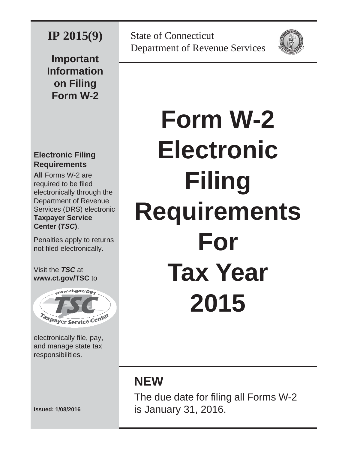# **IP 2015(9)**

**Important Information on Filing Form W-2**

## **Electronic Filing Requirements**

**All** Forms W-2 are required to be filed electronically through the Department of Revenue Services (DRS) electronic **Taxpayer Service Center (***TSC***)**.

Penalties apply to returns not filed electronically.

#### Visit the *TSC* at **www.ct.gov/TSC** to



electronically file, pay, and manage state tax responsibilities.

**Issued: 1/08/2016** 

State of Connecticut Department of Revenue Services



# **Form W-2 Electronic Filing Requirements For Tax Year 2015**

# **NEW**

The due date for filing all Forms W-2 is January 31, 2016.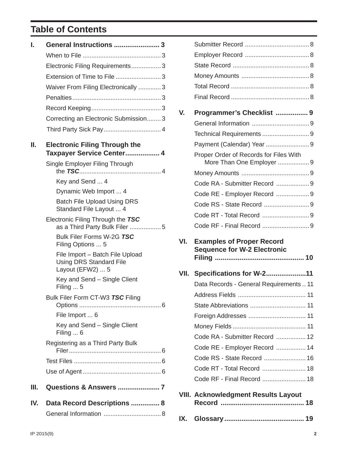## **Table of Contents**

| I.  | General Instructions  3                                                               |
|-----|---------------------------------------------------------------------------------------|
|     |                                                                                       |
|     | Electronic Filing Requirements3                                                       |
|     | Extension of Time to File  3                                                          |
|     | Waiver From Filing Electronically 3                                                   |
|     |                                                                                       |
|     |                                                                                       |
|     | Correcting an Electronic Submission 3                                                 |
|     | Third Party Sick Pay 4                                                                |
| Ш.  | <b>Electronic Filing Through the</b><br>Taxpayer Service Center 4                     |
|     | Single Employer Filing Through                                                        |
|     | Key and Send  4                                                                       |
|     | Dynamic Web Import  4                                                                 |
|     | <b>Batch File Upload Using DRS</b><br>Standard File Layout  4                         |
|     | Electronic Filing Through the TSC<br>as a Third Party Bulk Filer 5                    |
|     | Bulk Filer Forms W-2G TSC<br>Filing Options  5                                        |
|     | File Import - Batch File Upload<br><b>Using DRS Standard File</b><br>Layout (EFW2)  5 |
|     | Key and Send – Single Client<br>Filing $\dots$ 5                                      |
|     | Bulk Filer Form CT-W3 TSC Filing                                                      |
|     | File Import  6                                                                        |
|     | Key and Send – Single Client<br>Filing $\dots$ 6                                      |
|     | Registering as a Third Party Bulk                                                     |
|     |                                                                                       |
|     |                                                                                       |
| Ш.  |                                                                                       |
| IV. | Data Record Descriptions  8                                                           |
|     |                                                                                       |

| V.   | Programmer's Checklist  9                                           |
|------|---------------------------------------------------------------------|
|      |                                                                     |
|      |                                                                     |
|      |                                                                     |
|      | Proper Order of Records for Files With<br>More Than One Employer  9 |
|      |                                                                     |
|      | Code RA - Submitter Record  9                                       |
|      | Code RE - Employer Record  9                                        |
|      |                                                                     |
|      |                                                                     |
|      | Code RF - Final Record 9                                            |
|      |                                                                     |
| VI.  | <b>Examples of Proper Record</b>                                    |
|      | <b>Sequence for W-2 Electronic</b>                                  |
| VII. | <b>Specifications for W-211</b>                                     |
|      | Data Records - General Requirements 11                              |
|      |                                                                     |
|      | State Abbreviations<br>11                                           |
|      |                                                                     |
|      |                                                                     |
|      | Code RA - Submitter Record  12                                      |
|      | Code RE - Employer Record  14                                       |
|      | Code RS - State Record  16                                          |
|      | Code RT - Total Record  18                                          |
|      | Code RF - Final Record  18                                          |

**IX. Glossary .......................................... 19**

Submitter Record ..................................... 8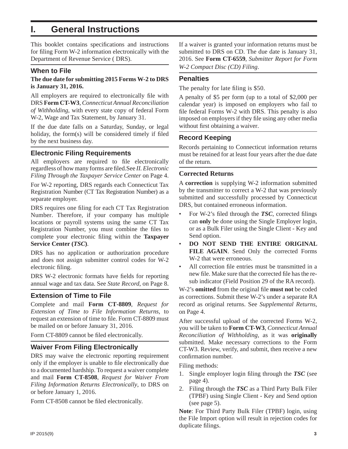## **I. General Instructions**

This booklet contains specifications and instructions for filing Form W-2 information electronically with the Department of Revenue Service ( DRS).

#### **When to File**

#### **The due date for submitting 2015 Forms W-2 to DRS is January 31, 2016.**

All employers are required to electronically file with DRS **Form CT-W3**, *Connecticut Annual Reconciliation of Withholding*, with every state copy of federal Form W-2, Wage and Tax Statement, by January 31.

If the due date falls on a Saturday, Sunday, or legal holiday, the form $(s)$  will be considered timely if filed by the next business day.

#### **Electronic Filing Requirements**

All employers are required to file electronically regardless of how many forms are fi led.See *II. Electronic Filing Through the Taxpayer Service Center* on Page 4.

For W-2 reporting, DRS regards each Connecticut Tax Registration Number (CT Tax Registration Number) as a separate employer.

DRS requires one filing for each CT Tax Registration Number. Therefore, if your company has multiple locations or payroll systems using the same CT Tax Registration Number, you must combine the files to complete your electronic filing within the **Taxpayer Service Center (***TSC***)**.

DRS has no application or authorization procedure and does not assign submitter control codes for W-2 electronic filing.

DRS W-2 electronic formats have fields for reporting annual wage and tax data. See *State Record*, on Page 8.

#### **Extension of Time to File**

Complete and mail **Form CT-8809**, *Request for Extension of Time to File Information Returns*, to request an extension of time to file. Form CT-8809 must be mailed on or before January 31, 2016.

Form CT-8809 cannot be filed electronically.

#### **Waiver From Filing Electronically**

DRS may waive the electronic reporting requirement only if the employer is unable to file electronically due to a documented hardship. To request a waiver complete and mail **Form CT-8508**, *Request for Waiver From Filing Information Returns Electronically*, to DRS on or before January 1, 2016.

Form CT-8508 cannot be filed electronically.

If a waiver is granted your information returns must be submitted to DRS on CD. The due date is January 31, 2016. See **Form CT-6559**, *Submitter Report for Form W-2 Compact Disc (CD) Filing*.

#### **Penalties**

The penalty for late filing is \$50.

A penalty of \$5 per form (up to a total of \$2,000 per calendar year) is imposed on employers who fail to file federal Forms W-2 with DRS. This penalty is also imposed on employers if they file using any other media without first obtaining a waiver.

#### **Record Keeping**

Records pertaining to Connecticut information returns must be retained for at least four years after the due date of the return.

#### **Corrected Returns**

A **correction** is supplying W-2 information submitted by the transmitter to correct a W-2 that was previously submitted and successfully processed by Connecticut DRS, but contained erroneous information.

- For W-2's filed through the *TSC*, corrected filings can **only** be done using the Single Employer login, or as a Bulk Filer using the Single Client - Key and Send option.
- **DO NOT SEND THE ENTIRE ORIGINAL FILE AGAIN**. Send Only the corrected Forms W-2 that were erroneous.
- All correction file entries must be transmitted in a new file. Make sure that the corrected file has the resub indicator (Field Position 29 of the RA record).

W-2's **omitted** from the original file **must** not be coded as corrections. Submit these W-2's under a separate RA record as original returns. See *Supplemental Returns*, on Page 4.

After successful upload of the corrected Forms W-2, you will be taken to **Form CT-W3**, *Connecticut Annual Reconciliation of Withholding,* as it was **originally** submitted. Make necessary corrections to the Form CT-W3. Review, verify, and submit, then receive a new confirmation number.

Filing methods:

- 1. Single employer login filing through the **TSC** (see page 4).
- 2. Filing through the *TSC* as a Third Party Bulk Filer (TPBF) using Single Client - Key and Send option (see page 5).

**Note**: For Third Party Bulk Filer (TPBF) login, using the File Import option will result in rejection codes for duplicate filings.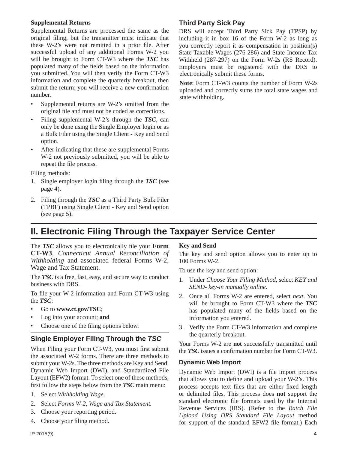#### **Supplemental Returns**

Supplemental Returns are processed the same as the original filing, but the transmitter must indicate that these W-2's were not remitted in a prior file. After successful upload of any additional Forms W-2 you will be brought to Form CT-W3 where the *TSC* has populated many of the fields based on the information you submitted. You will then verify the Form CT-W3 information and complete the quarterly breakout, then submit the return; you will receive a new confirmation number.

- Supplemental returns are W-2's omitted from the original file and must not be coded as corrections.
- Filing supplemental W-2's through the *TSC,* can only be done using the Single Employer login or as a Bulk Filer using the Single Client - Key and Send option.
- After indicating that these are supplemental Forms W-2 not previously submitted, you will be able to repeat the file process.

Filing methods:

- 1. Single employer login filing through the **TSC** (see page 4).
- 2. Filing through the *TSC* as a Third Party Bulk Filer (TPBF) using Single Client - Key and Send option (see page 5).

#### **Third Party Sick Pay**

DRS will accept Third Party Sick Pay (TPSP) by including it in box 16 of the Form W-2 as long as you correctly report it as compensation in position(s) State Taxable Wages (276-286) and State Income Tax Withheld (287-297) on the Form W-2s (RS Record). Employers must be registered with the DRS to electronically submit these forms.

**Note**: Form CT-W3 counts the number of Form W-2s uploaded and correctly sums the total state wages and state withholding.

## **II. Electronic Filing Through the Taxpayer Service Center**

The **TSC** allows you to electronically file your **Form CT-W3**, *Connecticut Annual Reconciliation of Withholding* and associated federal Forms W-2, Wage and Tax Statement.

The *TSC* is a free, fast, easy, and secure way to conduct business with DRS.

To file your W-2 information and Form CT-W3 using the *TSC*:

- Go to **www.ct.gov/TSC**;
- Log into your account; **and**
- Choose one of the filing options below.

#### **Single Employer Filing Through the** *TSC*

When Filing your Form CT-W3, you must first submit the associated W-2 forms. There are three methods to submit your W-2s. The three methods are Key and Send, Dynamic Web Import (DWI), and Standardized File Layout (EFW2) format. To select one of these methods, first follow the steps below from the **TSC** main menu:

- 1. Select *Withholding Wage*.
- 2. Select *Forms W-2, Wage and Tax Statement.*
- 3. Choose your reporting period.
- 4. Choose your filing method.

#### **Key and Send**

The key and send option allows you to enter up to 100 Forms W-2.

To use the key and send option:

- 1. Under *Choose Your Filing Method*, select *KEY and SEND- key-in manually online*.
- 2. Once all Forms W-2 are entered, select *next*. You will be brought to Form CT-W3 where the *TSC* has populated many of the fields based on the information you entered.
- 3. Verify the Form CT-W3 information and complete the quarterly breakout.

Your Forms W-2 are **not** successfully transmitted until the **TSC** issues a confirmation number for Form CT-W3.

#### **Dynamic Web Import**

Dynamic Web Import (DWI) is a file import process that allows you to define and upload your  $W-2$ 's. This process accepts text files that are either fixed length or delimited files. This process does **not** support the standard electronic file formats used by the Internal Revenue Services (IRS). (Refer to the *Batch File Upload Using DRS Standard File Layout* method for support of the standard EFW2 file format.) Each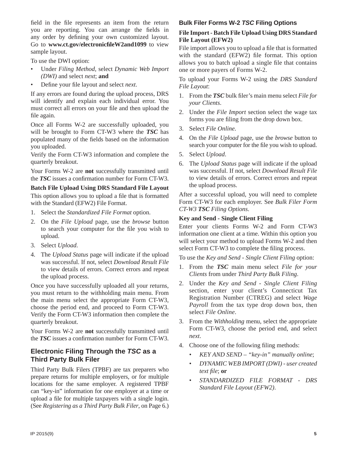field in the file represents an item from the return you are reporting. You can arrange the fields in any order by defining your own customized layout. Go to **www.ct.gov/electronicfi leW2and1099** to view sample layout.

To use the DWI option:

- Under *Filing Method*, select *Dynamic Web Import (DWI)* and select *next*; **and**
- Define your file layout and select *next*.

If any errors are found during the upload process, DRS will identify and explain each individual error. You must correct all errors on your file and then upload the file again.

Once all Forms W-2 are successfully uploaded, you will be brought to Form CT-W3 where the *TSC* has populated many of the fields based on the information you uploaded.

Verify the Form CT-W3 information and complete the quarterly breakout.

Your Forms W-2 are **not** successfully transmitted until the **TSC** issues a confirmation number for Form CT-W3.

#### **Batch File Upload Using DRS Standard File Layout**

This option allows you to upload a file that is formatted with the Standard (EFW2) File Format.

- 1. Select the *Standardized File Format* option.
- 2. On the *File Upload* page, use the *browse* button to search your computer for the file you wish to upload.
- 3. Select *Upload*.
- 4. The *Upload Status* page will indicate if the upload was successful. If not, select *Download Result File* to view details of errors. Correct errors and repeat the upload process.

Once you have successfully uploaded all your returns, you must return to the withholding main menu. From the main menu select the appropriate Form CT-W3, choose the period end, and proceed to Form CT-W3. Verify the Form CT-W3 information then complete the quarterly breakout.

Your Forms W-2 are **not** successfully transmitted until the **TSC** issues a confirmation number for Form CT-W3.

#### **Electronic Filing Through the** *TSC* **as a Third Party Bulk Filer**

Third Party Bulk Filers (TPBF) are tax preparers who prepare returns for multiple employers, or for multiple locations for the same employer. A registered TPBF can "key-in" information for one employer at a time or upload a file for multiple taxpayers with a single login. (See *Registering as a Third Party Bulk Filer*, on Page 6.)

#### **Bulk Filer Forms W-2** *TSC* **Filing Options**

#### **File Import - Batch File Upload Using DRS Standard File Layout (EFW2)**

File import allows you to upload a file that is formatted with the standard (EFW2) file format. This option allows you to batch upload a single file that contains one or more payers of Forms W-2.

To upload your Forms W-2 using the *DRS Standard File Layout*:

- 1. From the **TSC** bulk filer's main menu select *File for your Clients*.
- 2. Under the *File Import* section select the wage tax forms you are filing from the drop down box.
- 3. Select *File Online*.
- 4. On the *File Upload* page, use the *browse* button to search your computer for the file you wish to upload.
- 5. Select *Upload*.
- 6. The *Upload Status* page will indicate if the upload was successful. If not, select *Download Result File* to view details of errors. Correct errors and repeat the upload process.

After a successful upload, you will need to complete Form CT-W3 for each employer. See *Bulk Filer Form CT-W3 TSC Filing Options*.

#### **Key and Send - Single Client Filing**

Enter your clients Forms W-2 and Form CT-W3 information one client at a time. Within this option you will select your method to upload Forms W-2 and then select Form CT-W3 to complete the filing process.

To use the *Key and Send - Single Client Filing* option:

- 1. From the *TSC* main menu select *File for your Clients* from under *Third Party Bulk Filing*.
- 2. Under the *Key and Send Single Client Filing* section, enter your client's Connecticut Tax Registration Number (CTREG) and select *Wage Payroll* from the tax type drop down box, then select *File Online*.
- 3. From the *Withholding* menu, select the appropriate Form CT-W3, choose the period end, and select *next*.
- 4. Choose one of the following filing methods:
	- *KEY AND SEND "key-in" manually online*;
	- *DYNAMIC WEB IMPORT (DWI) user created text file*; or
	- *STANDARDIZED FILE FORMAT DRS Standard File Layout (EFW2)*.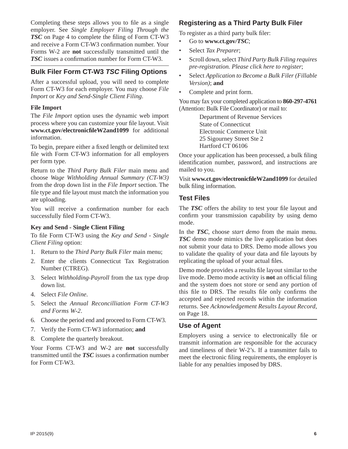Completing these steps allows you to file as a single employer. See *Single Employer Filing Through the TSC* on Page 4 to complete the filing of Form CT-W3 and receive a Form CT-W3 confirmation number. Your Forms W-2 are **not** successfully transmitted until the *TSC* issues a confirmation number for Form CT-W3.

#### **Bulk Filer Form CT-W3** *TSC* **Filing Options**

After a successful upload, you will need to complete Form CT-W3 for each employer. You may choose *File Import* or *Key and Send-Single Client Filing*.

#### **File Import**

The *File Import* option uses the dynamic web import process where you can customize your file layout. Visit **www.ct.gov/electronicfi leW2and1099** for additional information.

To begin, prepare either a fixed length or delimited text file with Form CT-W3 information for all employers per form type.

Return to the *Third Party Bulk Filer* main menu and choose *Wage Withholding Annual Summary (CT-W3)*  from the drop down list in the *File Import* section. The file type and file layout must match the information you are uploading.

You will receive a confirmation number for each successfully filed Form CT-W3.

#### **Key and Send - Single Client Filing**

To file Form CT-W3 using the *Key and Send - Single Client Filing* option:

- 1. Return to the *Third Party Bulk Filer* main menu;
- 2. Enter the clients Connecticut Tax Registration Number (CTREG).
- 3. Select *Withholding-Payroll* from the tax type drop down list.
- 4. Select *File Online*.
- 5. Select the *Annual Reconcilliation Form CT-W3 and Forms W-2*.
- 6. Choose the period end and proceed to Form CT-W3.
- 7. Verify the Form CT-W3 information; **and**
- 8. Complete the quarterly breakout.

Your Forms CT-W3 and W-2 are **not** successfully transmitted until the *TSC* issues a confirmation number for Form CT-W3.

#### **Registeringas a Third Party Bulk Filer**

To register as a third party bulk filer:

- Go to **www.ct.gov***/TSC*;
- Select *Tax Preparer*;
- Scroll down, select *Third Party Bulk Filing requires pre-registration. Please click here to register*;
- Select *Application to Become a Bulk Filer (Fillable Version)*; **and**
- Complete and print form.

You may fax your completed application to **860-297-4761** (Attention: Bulk File Coordinator) or mail to:

> Department of Revenue Services State of Connecticut Electronic Commerce Unit 25 Sigourney Street Ste 2 Hartford CT 06106

Once your application has been processed, a bulk filing identification number, password, and instructions are mailed to you.

Visit **www.ct.gov/electronicfi leW2and1099** for detailed bulk filing information.

#### **Test Files**

The **TSC** offers the ability to test your file layout and confirm your transmission capability by using demo mode.

In the *TSC*, choose *start demo* from the main menu*. TSC* demo mode mimics the live application but does not submit your data to DRS. Demo mode allows you to validate the quality of your data and file layouts by replicating the upload of your actual files.

Demo mode provides a results file layout similar to the live mode. Demo mode activity is **not** an official filing and the system does not store or send any portion of this file to DRS. The results file only confirms the accepted and rejected records within the information returns. See *Acknowledgement Results Layout Record*, on Page 18.

#### **Use of Agent**

Employers using a service to electronically file or transmit information are responsible for the accuracy and timeliness of their W-2's. If a transmitter fails to meet the electronic filing requirements, the employer is liable for any penalties imposed by DRS.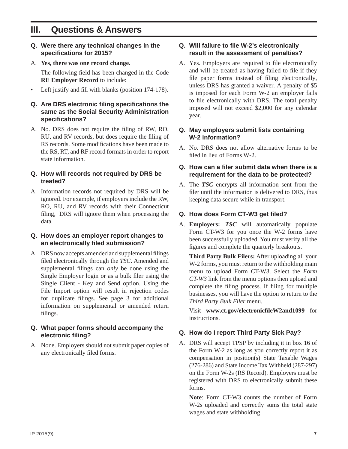## **III. Questions & Answers**

- **Q. Were there any technical changes in the specifi cations for 2015?**
- A. **Yes, there was one record change.**

The following field has been changed in the Code **RE Employer Record** to include:

Left justify and fill with blanks (position  $174-178$ ).

#### **Q. Are DRS electronic fi ling specifi cations the same as the Social Security Administration specifi cations?**

A. No. DRS does not require the filing of RW, RO, RU, and RV records, but does require the filing of RS records. Some modifications have been made to the RS, RT, and RF record formats in order to report state information.

#### **Q. How will records not required by DRS be treated?**

A. Information records not required by DRS will be ignored. For example, if employers include the RW, RO, RU, and RV records with their Connecticut filing, DRS will ignore them when processing the data*.* 

#### **Q. How does an employer report changes to an electronically fi led submission?**

A. DRS now accepts amended and supplemental filings filed electronically through the *TSC*. Amended and supplemental filings can *only* be done using the Single Employer login or as a bulk filer using the Single Client - Key and Send option. Using the File Import option will result in rejection codes for duplicate filings. See page 3 for additional information on supplemental or amended return filings.

#### **Q. What paper forms should accompany the electronic filing?**

A. None. Employers should not submit paper copies of any electronically filed forms.

#### **Q. Will failure to file W-2's electronically result in the assessment of penalties?**

A. Yes. Employers are required to file electronically and will be treated as having failed to file if they file paper forms instead of filing electronically, unless DRS has granted a waiver. A penalty of \$5 is imposed for each Form W-2 an employer fails to file electronically with DRS. The total penalty imposed will not exceed \$2,000 for any calendar year.

#### **Q. May employers submit lists containing W-2 information?**

A. No. DRS does not allow alternative forms to be filed in lieu of Forms W-2.

#### **Q. How can a fi ler submit data when there is a requirement for the data to be protected?**

A. The *TSC* encrypts all information sent from the filer until the information is delivered to DRS, thus keeping data secure while in transport.

#### **Q. How does Form CT-W3 get fi led?**

A. **Employers:** *TSC* will automatically populate Form CT-W3 for you once the W-2 forms have been successfully uploaded. You must verify all the figures and complete the quarterly breakouts.

 **Third Party Bulk Filers:** After uploading all your W-2 forms, you must return to the withholding main menu to upload Form CT-W3. Select the *Form CT-W3* link from the menu options then upload and complete the filing process. If filing for multiple businesses, you will have the option to return to the *Third Party Bulk Filer* menu.

 Visit **www.ct.gov/electronicfi leW2and1099** for instructions.

#### **Q. How do I report Third Party Sick Pay?**

A. DRS will accept TPSP by including it in box 16 of the Form W-2 as long as you correctly report it as compensation in position(s) State Taxable Wages (276-286) and State Income Tax Withheld (287-297) on the Form W-2s (RS Record). Employers must be registered with DRS to electronically submit these forms.

**Note**: Form CT-W3 counts the number of Form W-2s uploaded and correctly sums the total state wages and state withholding.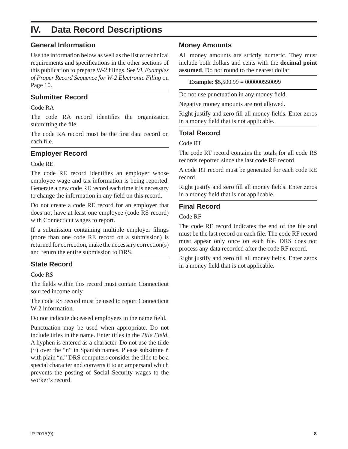## **IV. Data Record Descriptions**

#### **General Information**

Use the information below as well as the list of technical requirements and specifications in the other sections of this publication to prepare W-2 filings. See *VI. Examples of Proper Record Sequence for W-2 Electronic Filing* on Page 10.

#### **Submitter Record**

#### Code RA

The code RA record identifies the organization submitting the file.

The code RA record must be the first data record on each file.

#### **Employer Record**

#### Code RE

The code RE record identifies an employer whose employee wage and tax information is being reported. Generate a new code RE record each time it is necessary to change the information in any field on this record.

Do not create a code RE record for an employer that does not have at least one employee (code RS record) with Connecticut wages to report.

If a submission containing multiple employer filings (more than one code RE record on a submission) is returned for correction, make the necessary correction(s) and return the entire submission to DRS.

#### **State Record**

Code RS

The fields within this record must contain Connecticut sourced income only.

The code RS record must be used to report Connecticut W-2 information.

Do not indicate deceased employees in the name field.

Punctuation may be used when appropriate. Do not include titles in the name. Enter titles in the *Title Field*. A hyphen is entered as a character. Do not use the tilde (~) over the "n" in Spanish names. Please substitute ñ with plain "n." DRS computers consider the tilde to be a special character and converts it to an ampersand which prevents the posting of Social Security wages to the worker's record.

#### **Money Amounts**

All money amounts are strictly numeric. They must include both dollars and cents with the **decimal point assumed**. Do not round to the nearest dollar

**Example**: \$5,500.99 = 000000550099

Do not use punctuation in any money field.

Negative money amounts are **not** allowed.

Right justify and zero fill all money fields. Enter zeros in a money field that is not applicable.

#### **Total Record**

Code RT

The code RT record contains the totals for all code RS records reported since the last code RE record.

A code RT record must be generated for each code RE record.

Right justify and zero fill all money fields. Enter zeros in a money field that is not applicable.

#### **Final Record**

#### Code RF

The code RF record indicates the end of the file and must be the last record on each file. The code RF record must appear only once on each file. DRS does not process any data recorded after the code RF record.

Right justify and zero fill all money fields. Enter zeros in a money field that is not applicable.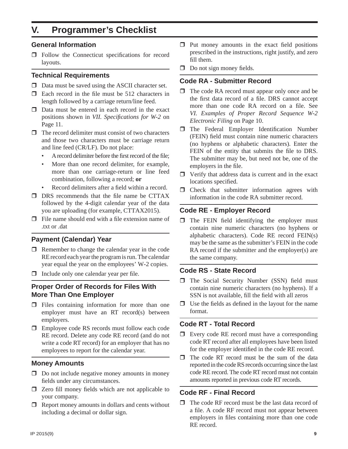## **V. Programmer's Checklist**

#### **General Information**

 $\Box$  Follow the Connecticut specifications for record layouts.

#### **Technical Requirements**

- $\Box$  Data must be saved using the ASCII character set.
- $\Box$  Each record in the file must be 512 characters in length followed by a carriage return/line feed.
- $\Box$  Data must be entered in each record in the exact positions shown in *VII. Specifications for W-2* on Page 11.
- $\Box$  The record delimiter must consist of two characters and those two characters must be carriage return and line feed (CR/LF). Do not place:
	- A record delimiter before the first record of the file;
	- More than one record delimiter, for example, more than one carriage-return or line feed combination, following a record; **or**
	- Record delimiters after a field within a record.
- $\Box$  DRS recommends that the file name be CTTAX followed by the 4-digit calendar year of the data you are uploading (for example, CTTAX2015).
- $\Box$  File name should end with a file extension name of .txt or .dat

#### **Payment (Calendar) Year**

- $\Box$  Remember to change the calendar year in the code RE record each year the program is run. The calendar year equal the year on the employees' W-2 copies.
- $\Box$  Include only one calendar year per file.

#### **Proper Order of Records for Files With More Than One Employer**

- $\Box$  Files containing information for more than one employer must have an RT record(s) between employers.
- □ Employee code RS records must follow each code RE record. Delete any code RE record (and do not write a code RT record) for an employer that has no employees to report for the calendar year.

#### **Money Amounts**

- $\Box$  Do not include negative money amounts in money fields under any circumstances.
- $\Box$  Zero fill money fields which are not applicable to your company.
- $\Box$  Report money amounts in dollars and cents without including a decimal or dollar sign.
- $\Box$  Put money amounts in the exact field positions prescribed in the instructions, right justify, and zero fill them.
- $\Box$  Do not sign money fields.

#### **Code RA - Submitter Record**

- $\Box$  The code RA record must appear only once and be the first data record of a file. DRS cannot accept more than one code RA record on a file. See *VI. Examples of Proper Record Sequence W-2 Electronic Filing* on Page 10.
- $\Box$  The Federal Employer Identification Number (FEIN) field must contain nine numeric characters (no hyphens or alphabetic characters). Enter the FEIN of the entity that submits the file to DRS. The submitter may be, but need not be, one of the employers in the file.
- $\Box$  Verify that address data is current and in the exact locations specified.
- $\Box$  Check that submitter information agrees with information in the code RA submitter record.

#### **Code RE - Employer Record**

 $\Box$  The FEIN field identifying the employer must contain nine numeric characters (no hyphens or alphabetic characters). Code RE record FEIN(s) may be the same as the submitter's FEIN in the code RA record if the submitter and the employer(s) are the same company.

#### **Code RS - State Record**

- $\Box$  The Social Security Number (SSN) field must contain nine numeric characters (no hyphens). If a SSN is not available, fill the field with all zeros
- $\Box$  Use the fields as defined in the layout for the name format.

#### **Code RT - Total Record**

- $\Box$  Every code RE record must have a corresponding code RT record after all employees have been listed for the employer identified in the code RE record.
- $\Box$  The code RT record must be the sum of the data reported in the code RS records occurring since the last code RE record. The code RT record must not contain amounts reported in previous code RT records.

#### **Code RF - Final Record**

 $\Box$  The code RF record must be the last data record of a file. A code RF record must not appear between employers in files containing more than one code RE record.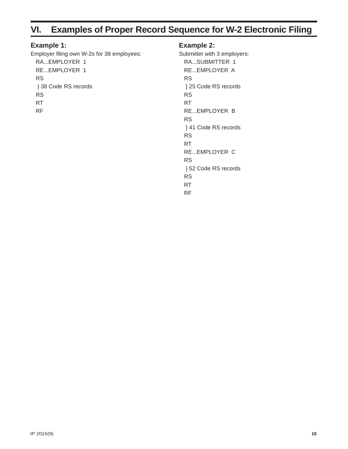## **VI. Examples of Proper Record Sequence for W-2 Electronic Filing**

#### **Example 1:**

Employer filing own W-2s for 38 employees: RA...EMPLOYER 1 RE...EMPLOYER 1 RS } 38 Code RS records RS RT RF

#### **Example 2:**

Submitter with 3 employers: RA...SUBMITTER 1 RE...EMPLOYER A RS } 25 Code RS records RS RT RE...EMPLOYER B RS } 41 Code RS records RS RT RE...EMPLOYER C RS } 52 Code RS records RS RT RF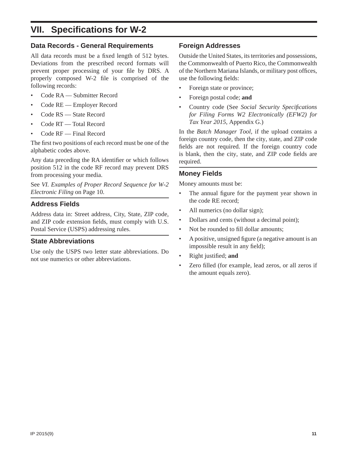## **VII. Specifi cations for W-2**

#### **Data Records - General Requirements**

All data records must be a fixed length of 512 bytes. Deviations from the prescribed record formats will prevent proper processing of your file by DRS. A properly composed W-2 file is comprised of the following records:

- Code RA Submitter Record
- Code RE Employer Record
- Code RS State Record
- Code RT Total Record
- Code RF Final Record

The first two positions of each record must be one of the alphabetic codes above.

Any data preceding the RA identifier or which follows position 512 in the code RF record may prevent DRS from processing your media.

See *VI. Examples of Proper Record Sequence for W-2 Electronic Filing* on Page 10.

#### **Address Fields**

Address data in: Street address, City, State, ZIP code, and ZIP code extension fields, must comply with U.S. Postal Service (USPS) addressing rules.

#### **State Abbreviations**

Use only the USPS two letter state abbreviations. Do not use numerics or other abbreviations.

#### **Foreign Addresses**

Outside the United States, its territories and possessions, the Commonwealth of Puerto Rico, the Commonwealth of the Northern Mariana Islands, or military post offices, use the following fields:

- Foreign state or province;
- Foreign postal code; **and**
- Country code (See *Social Security Specifi cations for Filing Forms W2 Electronically (EFW2) for Tax Year 2015*, Appendix G.)

In the *Batch Manager Tool,* if the upload contains a foreign country code, then the city, state, and ZIP code fields are not required. If the foreign country code is blank, then the city, state, and ZIP code fields are required.

#### **Money Fields**

Money amounts must be:

- The annual figure for the payment year shown in the code RE record;
- All numerics (no dollar sign);
- Dollars and cents (without a decimal point);
- Not be rounded to fill dollar amounts:
- A positive, unsigned figure (a negative amount is an impossible result in any field);
- **Right** justified; and
- Zero filled (for example, lead zeros, or all zeros if the amount equals zero).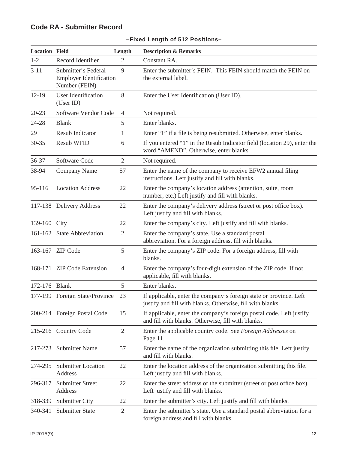### **Code RA - Submitter Record**

| <b>Location Field</b> |                                                                        | Length         | <b>Description &amp; Remarks</b>                                                                                                 |
|-----------------------|------------------------------------------------------------------------|----------------|----------------------------------------------------------------------------------------------------------------------------------|
| $1 - 2$               | Record Identifier                                                      | 2              | Constant RA.                                                                                                                     |
| $3 - 11$              | Submitter's Federal<br><b>Employer Identification</b><br>Number (FEIN) | 9              | Enter the submitter's FEIN. This FEIN should match the FEIN on<br>the external label.                                            |
| $12 - 19$             | <b>User Identification</b><br>(User ID)                                | 8              | Enter the User Identification (User ID).                                                                                         |
| $20 - 23$             | Software Vendor Code                                                   | $\overline{4}$ | Not required.                                                                                                                    |
| 24-28                 | <b>Blank</b>                                                           | 5              | Enter blanks.                                                                                                                    |
| 29                    | Resub Indicator                                                        | 1              | Enter "1" if a file is being resubmitted. Otherwise, enter blanks.                                                               |
| $30 - 35$             | <b>Resub WFID</b>                                                      | 6              | If you entered "1" in the Resub Indicator field (location 29), enter the<br>word "AMEND". Otherwise, enter blanks.               |
| 36-37                 | Software Code                                                          | $\overline{2}$ | Not required.                                                                                                                    |
| 38-94                 | <b>Company Name</b>                                                    | 57             | Enter the name of the company to receive EFW2 annual filing<br>instructions. Left justify and fill with blanks.                  |
| 95-116                | <b>Location Address</b>                                                | 22             | Enter the company's location address (attention, suite, room<br>number, etc.) Left justify and fill with blanks.                 |
|                       | 117-138 Delivery Address                                               | 22             | Enter the company's delivery address (street or post office box).<br>Left justify and fill with blanks.                          |
| 139-160 City          |                                                                        | 22             | Enter the company's city. Left justify and fill with blanks.                                                                     |
|                       | 161-162 State Abbreviation                                             | $\mathfrak{2}$ | Enter the company's state. Use a standard postal<br>abbreviation. For a foreign address, fill with blanks.                       |
|                       | 163-167 ZIP Code                                                       | 5              | Enter the company's ZIP code. For a foreign address, fill with<br>blanks.                                                        |
|                       | 168-171 ZIP Code Extension                                             | $\overline{4}$ | Enter the company's four-digit extension of the ZIP code. If not<br>applicable, fill with blanks.                                |
| 172-176 Blank         |                                                                        | 5              | Enter blanks.                                                                                                                    |
|                       | 177-199 Foreign State/Province                                         | 23             | If applicable, enter the company's foreign state or province. Left<br>justify and fill with blanks. Otherwise, fill with blanks. |
|                       | 200-214 Foreign Postal Code                                            | 15             | If applicable, enter the company's foreign postal code. Left justify<br>and fill with blanks. Otherwise, fill with blanks.       |
|                       | 215-216 Country Code                                                   | $\overline{2}$ | Enter the applicable country code. See Foreign Addresses on<br>Page 11.                                                          |
| 217-273               | <b>Submitter Name</b>                                                  | 57             | Enter the name of the organization submitting this file. Left justify<br>and fill with blanks.                                   |
| 274-295               | <b>Submitter Location</b><br><b>Address</b>                            | 22             | Enter the location address of the organization submitting this file.<br>Left justify and fill with blanks.                       |
| 296-317               | <b>Submitter Street</b><br>Address                                     | 22             | Enter the street address of the submitter (street or post office box).<br>Left justify and fill with blanks.                     |
| 318-339               | <b>Submitter City</b>                                                  | 22             | Enter the submitter's city. Left justify and fill with blanks.                                                                   |
| 340-341               | <b>Submitter State</b>                                                 | $\sqrt{2}$     | Enter the submitter's state. Use a standard postal abbreviation for a<br>foreign address and fill with blanks.                   |

#### **–Fixed Length of 512 Positions–**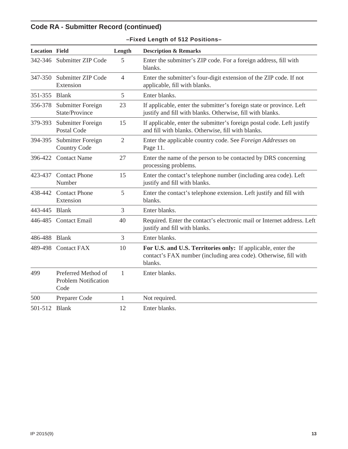## **Code RA - Submitter Record (continued)**

| <b>Location Field</b> |                                                            | Length         | <b>Description &amp; Remarks</b>                                                                                                            |
|-----------------------|------------------------------------------------------------|----------------|---------------------------------------------------------------------------------------------------------------------------------------------|
|                       | 342-346 Submitter ZIP Code                                 | 5              | Enter the submitter's ZIP code. For a foreign address, fill with<br>blanks.                                                                 |
| 347-350               | Submitter ZIP Code<br>Extension                            | $\overline{4}$ | Enter the submitter's four-digit extension of the ZIP code. If not<br>applicable, fill with blanks.                                         |
| 351-355               | <b>Blank</b>                                               | 5              | Enter blanks.                                                                                                                               |
| 356-378               | Submitter Foreign<br>State/Province                        | 23             | If applicable, enter the submitter's foreign state or province. Left<br>justify and fill with blanks. Otherwise, fill with blanks.          |
| 379-393               | Submitter Foreign<br><b>Postal Code</b>                    | 15             | If applicable, enter the submitter's foreign postal code. Left justify<br>and fill with blanks. Otherwise, fill with blanks.                |
| 394-395               | Submitter Foreign<br><b>Country Code</b>                   | $\overline{2}$ | Enter the applicable country code. See Foreign Addresses on<br>Page 11.                                                                     |
|                       | 396-422 Contact Name                                       | 27             | Enter the name of the person to be contacted by DRS concerning<br>processing problems.                                                      |
| 423-437               | <b>Contact Phone</b><br>Number                             | 15             | Enter the contact's telephone number (including area code). Left<br>justify and fill with blanks.                                           |
| 438-442               | <b>Contact Phone</b><br>Extension                          | 5              | Enter the contact's telephone extension. Left justify and fill with<br>blanks.                                                              |
| 443-445               | <b>Blank</b>                                               | 3              | Enter blanks.                                                                                                                               |
| 446-485               | <b>Contact Email</b>                                       | 40             | Required. Enter the contact's electronic mail or Internet address. Left<br>justify and fill with blanks.                                    |
| 486-488               | <b>Blank</b>                                               | 3              | Enter blanks.                                                                                                                               |
| 489-498               | <b>Contact FAX</b>                                         | 10             | For U.S. and U.S. Territories only: If applicable, enter the<br>contact's FAX number (including area code). Otherwise, fill with<br>blanks. |
| 499                   | Preferred Method of<br><b>Problem Notification</b><br>Code | $\mathbf{1}$   | Enter blanks.                                                                                                                               |
| 500                   | Preparer Code                                              | 1              | Not required.                                                                                                                               |
| 501-512               | <b>Blank</b>                                               | 12             | Enter blanks.                                                                                                                               |

|  |  | -Fixed Length of 512 Positions- |  |
|--|--|---------------------------------|--|
|  |  |                                 |  |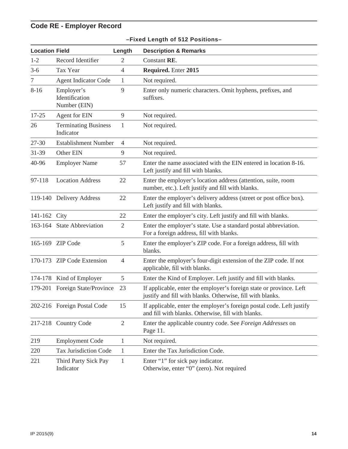## **Code RE - Employer Record**

| <b>Location Field</b> |                                              | Length         | <b>Description &amp; Remarks</b>                                                                                                  |
|-----------------------|----------------------------------------------|----------------|-----------------------------------------------------------------------------------------------------------------------------------|
| $1 - 2$               | Record Identifier                            | $\overline{2}$ | Constant RE.                                                                                                                      |
| $3-6$                 | Tax Year                                     | $\overline{4}$ | Required. Enter 2015                                                                                                              |
| 7                     | <b>Agent Indicator Code</b>                  | 1              | Not required.                                                                                                                     |
| $8 - 16$              | Employer's<br>Identification<br>Number (EIN) | 9              | Enter only numeric characters. Omit hyphens, prefixes, and<br>suffixes.                                                           |
| $17 - 25$             | Agent for EIN                                | $\overline{9}$ | Not required.                                                                                                                     |
| 26                    | <b>Terminating Business</b><br>Indicator     | 1              | Not required.                                                                                                                     |
| 27-30                 | <b>Establishment Number</b>                  | $\overline{4}$ | Not required.                                                                                                                     |
| 31-39                 | Other EIN                                    | 9              | Not required.                                                                                                                     |
| 40-96                 | <b>Employer Name</b>                         | 57             | Enter the name associated with the EIN entered in location 8-16.<br>Left justify and fill with blanks.                            |
| 97-118                | <b>Location Address</b>                      | 22             | Enter the employer's location address (attention, suite, room<br>number, etc.). Left justify and fill with blanks.                |
|                       | 119-140 Delivery Address                     | 22             | Enter the employer's delivery address (street or post office box).<br>Left justify and fill with blanks.                          |
| 141-162 City          |                                              | 22             | Enter the employer's city. Left justify and fill with blanks.                                                                     |
|                       | 163-164 State Abbreviation                   | $\mathfrak{2}$ | Enter the employer's state. Use a standard postal abbreviation.<br>For a foreign address, fill with blanks.                       |
|                       | 165-169 ZIP Code                             | 5              | Enter the employer's ZIP code. For a foreign address, fill with<br>blanks.                                                        |
|                       | 170-173 ZIP Code Extension                   | $\overline{4}$ | Enter the employer's four-digit extension of the ZIP code. If not<br>applicable, fill with blanks.                                |
| 174-178               | Kind of Employer                             | 5              | Enter the Kind of Employer. Left justify and fill with blanks.                                                                    |
| 179-201               | Foreign State/Province                       | 23             | If applicable, enter the employer's foreign state or province. Left<br>justify and fill with blanks. Otherwise, fill with blanks. |
|                       | 202-216 Foreign Postal Code                  | 15             | If applicable, enter the employer's foreign postal code. Left justify<br>and fill with blanks. Otherwise, fill with blanks.       |
|                       | 217-218 Country Code                         | $\overline{2}$ | Enter the applicable country code. See Foreign Addresses on<br>Page 11.                                                           |
| 219                   | <b>Employment Code</b>                       | $\mathbf{1}$   | Not required.                                                                                                                     |
| 220                   | <b>Tax Jurisdiction Code</b>                 | 1              | Enter the Tax Jurisdiction Code.                                                                                                  |
| 221                   | Third Party Sick Pay<br>Indicator            | 1              | Enter "1" for sick pay indicator.<br>Otherwise, enter "0" (zero). Not required                                                    |

#### **–Fixed Length of 512 Positions–**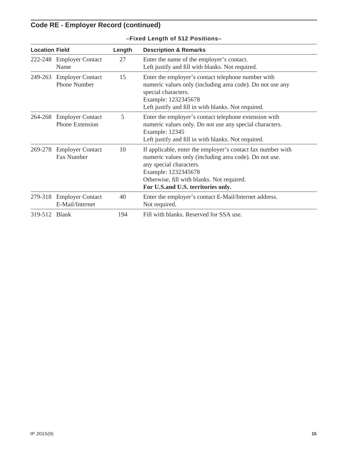## **Code RE - Employer Record (continued)**

| <b>Location Field</b> |                                                   | Length | <b>Description &amp; Remarks</b>                                                                                                                                                                                                                            |
|-----------------------|---------------------------------------------------|--------|-------------------------------------------------------------------------------------------------------------------------------------------------------------------------------------------------------------------------------------------------------------|
| 222-248               | <b>Employer Contact</b><br>Name                   | 27     | Enter the name of the employer's contact.<br>Left justify and fill with blanks. Not required.                                                                                                                                                               |
| 249-263               | <b>Employer Contact</b><br><b>Phone Number</b>    | 15     | Enter the employer's contact telephone number with<br>numeric values only (including area code). Do not use any<br>special characters.<br>Example: 1232345678<br>Left justify and fill in with blanks. Not required.                                        |
| 264-268               | <b>Employer Contact</b><br><b>Phone Extension</b> | 5      | Enter the employer's contact telephone extension with<br>numeric values only. Do not use any special characters.<br><b>Example: 12345</b><br>Left justify and fill in with blanks. Not required.                                                            |
| 269-278               | <b>Employer Contact</b><br><b>Fax Number</b>      | 10     | If applicable, enter the employer's contact fax number with<br>numeric values only (including area code). Do not use.<br>any special characters.<br>Example: 1232345678<br>Otherwise, fill with blanks. Not required.<br>For U.S.and U.S. territories only. |
| 279-318               | <b>Employer Contact</b><br>E-Mail/Internet        | 40     | Enter the employer's contact E-Mail/Internet address.<br>Not required.                                                                                                                                                                                      |
| 319-512 Blank         |                                                   | 194    | Fill with blanks. Reserved for SSA use.                                                                                                                                                                                                                     |

#### **–Fixed Length of 512 Positions–**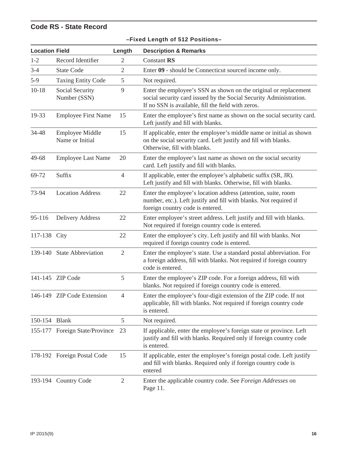## **Code RS - State Record**

| <b>Location Field</b> |                                           | Length         | <b>Description &amp; Remarks</b>                                                                                                                                                             |
|-----------------------|-------------------------------------------|----------------|----------------------------------------------------------------------------------------------------------------------------------------------------------------------------------------------|
| $1 - 2$               | Record Identifier                         | 2              | <b>Constant RS</b>                                                                                                                                                                           |
| $3-4$                 | <b>State Code</b>                         | $\overline{2}$ | Enter 09 - should be Connecticut sourced income only.                                                                                                                                        |
| $5-9$                 | <b>Taxing Entity Code</b>                 | 5              | Not required.                                                                                                                                                                                |
| $10 - 18$             | Social Security<br>Number (SSN)           | 9              | Enter the employee's SSN as shown on the original or replacement<br>social security card issued by the Social Security Administration.<br>If no SSN is available, fill the field with zeros. |
| 19-33                 | <b>Employee First Name</b>                | 15             | Enter the employee's first name as shown on the social security card.<br>Left justify and fill with blanks.                                                                                  |
| 34-48                 | <b>Employee Middle</b><br>Name or Initial | 15             | If applicable, enter the employee's middle name or initial as shown<br>on the social security card. Left justify and fill with blanks.<br>Otherwise, fill with blanks.                       |
| 49-68                 | <b>Employee Last Name</b>                 | 20             | Enter the employee's last name as shown on the social security<br>card. Left justify and fill with blanks.                                                                                   |
| 69-72                 | Suffix                                    | $\overline{4}$ | If applicable, enter the employee's alphabetic suffix (SR, JR).<br>Left justify and fill with blanks. Otherwise, fill with blanks.                                                           |
| 73-94                 | <b>Location Address</b>                   | 22             | Enter the employee's location address (attention, suite, room<br>number, etc.). Left justify and fill with blanks. Not required if<br>foreign country code is entered.                       |
| 95-116                | <b>Delivery Address</b>                   | 22             | Enter employee's street address. Left justify and fill with blanks.<br>Not required if foreign country code is entered.                                                                      |
| 117-138 City          |                                           | 22             | Enter the employee's city. Left justify and fill with blanks. Not<br>required if foreign country code is entered.                                                                            |
|                       | 139-140 State Abbreviation                | $\mathfrak{2}$ | Enter the employee's state. Use a standard postal abbreviation. For<br>a foreign address, fill with blanks. Not required if foreign country<br>code is entered.                              |
|                       | 141-145 ZIP Code                          | 5              | Enter the employee's ZIP code. For a foreign address, fill with<br>blanks. Not required if foreign country code is entered.                                                                  |
|                       | 146-149 ZIP Code Extension                | $\overline{4}$ | Enter the employee's four-digit extension of the ZIP code. If not<br>applicable, fill with blanks. Not required if foreign country code<br>is entered.                                       |
| 150-154 Blank         |                                           | 5              | Not required.                                                                                                                                                                                |
|                       | 155-177 Foreign State/Province            | 23             | If applicable, enter the employee's foreign state or province. Left<br>justify and fill with blanks. Required only if foreign country code<br>is entered.                                    |
|                       | 178-192 Foreign Postal Code               | 15             | If applicable, enter the employee's foreign postal code. Left justify<br>and fill with blanks. Required only if foreign country code is<br>entered                                           |
|                       | 193-194 Country Code                      | $\mathbf{2}$   | Enter the applicable country code. See Foreign Addresses on<br>Page 11.                                                                                                                      |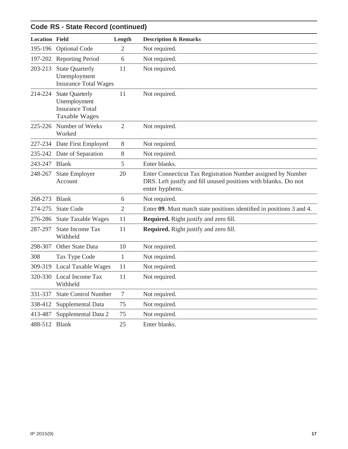| <b>Code RS - State Record (continued)</b> |                                                                                          |                |                                                                                                                                                   |  |
|-------------------------------------------|------------------------------------------------------------------------------------------|----------------|---------------------------------------------------------------------------------------------------------------------------------------------------|--|
| <b>Location Field</b>                     |                                                                                          | Length         | <b>Description &amp; Remarks</b>                                                                                                                  |  |
| 195-196                                   | <b>Optional Code</b>                                                                     | $\mathfrak{2}$ | Not required.                                                                                                                                     |  |
|                                           | 197-202 Reporting Period                                                                 | 6              | Not required.                                                                                                                                     |  |
| 203-213                                   | <b>State Quarterly</b><br>Unemployment<br><b>Insurance Total Wages</b>                   | 11             | Not required.                                                                                                                                     |  |
| 214-224                                   | <b>State Quarterly</b><br>Unemployment<br><b>Insurance Total</b><br><b>Taxable Wages</b> | 11             | Not required.                                                                                                                                     |  |
| 225-226                                   | Number of Weeks<br>Worked                                                                | $\mathfrak{2}$ | Not required.                                                                                                                                     |  |
|                                           | 227-234 Date First Employed                                                              | 8              | Not required.                                                                                                                                     |  |
|                                           | 235-242 Date of Separation                                                               | 8              | Not required.                                                                                                                                     |  |
| 243-247                                   | <b>Blank</b>                                                                             | 5              | Enter blanks.                                                                                                                                     |  |
| 248-267                                   | <b>State Employer</b><br>Account                                                         | 20             | Enter Connecticut Tax Registration Number assigned by Number<br>DRS. Left justify and fill unused positions with blanks. Do not<br>enter hyphens. |  |
| 268-273                                   | <b>Blank</b>                                                                             | 6              | Not required.                                                                                                                                     |  |
| 274-275                                   | <b>State Code</b>                                                                        | $\mathfrak{2}$ | Enter 09. Must match state positions identified in positions 3 and 4.                                                                             |  |
| 276-286                                   | <b>State Taxable Wages</b>                                                               | 11             | <b>Required.</b> Right justify and zero fill.                                                                                                     |  |
| 287-297                                   | <b>State Income Tax</b><br>Withheld                                                      | 11             | <b>Required.</b> Right justify and zero fill.                                                                                                     |  |
| 298-307                                   | Other State Data                                                                         | 10             | Not required.                                                                                                                                     |  |
| 308                                       | Tax Type Code                                                                            | 1              | Not required.                                                                                                                                     |  |
|                                           | 309-319 Local Taxable Wages                                                              | 11             | Not required.                                                                                                                                     |  |
|                                           | 320-330 Local Income Tax<br>Withheld                                                     | 11             | Not required.                                                                                                                                     |  |
| 331-337                                   | <b>State Control Number</b>                                                              | $\tau$         | Not required.                                                                                                                                     |  |
| 338-412                                   | Supplemental Data                                                                        | 75             | Not required.                                                                                                                                     |  |
| 413-487                                   | Supplemental Data 2                                                                      | 75             | Not required.                                                                                                                                     |  |
| 488-512                                   | <b>Blank</b>                                                                             | 25             | Enter blanks.                                                                                                                                     |  |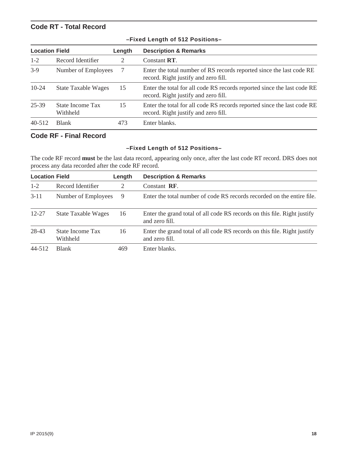#### **Code RT - Total Record**

| <b>Location Field</b> |                              | Length | <b>Description &amp; Remarks</b>                                                                                |
|-----------------------|------------------------------|--------|-----------------------------------------------------------------------------------------------------------------|
| $1 - 2$               | Record Identifier            | 2      | Constant RT.                                                                                                    |
| $3-9$                 | Number of Employees          |        | Enter the total number of RS records reported since the last code RE<br>record. Right justify and zero fill.    |
| $10-24$               | <b>State Taxable Wages</b>   | 15     | Enter the total for all code RS records reported since the last code RE<br>record. Right justify and zero fill. |
| 25-39                 | State Income Tax<br>Withheld | 15     | Enter the total for all code RS records reported since the last code RE<br>record. Right justify and zero fill. |
| $40 - 512$            | <b>Blank</b>                 | 473    | Enter blanks.                                                                                                   |

#### **–Fixed Length of 512 Positions–**

#### **Code RF - Final Record**

#### **–Fixed Length of 512 Positions–**

The code RF record **must** be the last data record, appearing only once, after the last code RT record. DRS does not process any data recorded after the code RF record.

| <b>Location Field</b> |                              | Length | <b>Description &amp; Remarks</b>                                                           |
|-----------------------|------------------------------|--------|--------------------------------------------------------------------------------------------|
| $1 - 2$               | Record Identifier            | 2      | Constant RF.                                                                               |
| $3 - 11$              | Number of Employees          | 9      | Enter the total number of code RS records recorded on the entire file.                     |
| $12 - 27$             | <b>State Taxable Wages</b>   | 16     | Enter the grand total of all code RS records on this file. Right justify<br>and zero fill. |
| 28-43                 | State Income Tax<br>Withheld | 16     | Enter the grand total of all code RS records on this file. Right justify<br>and zero fill. |
| 44-512                | <b>Blank</b>                 | 469    | Enter blanks.                                                                              |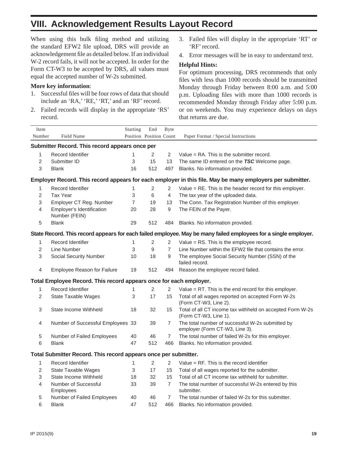## **VIII. Acknowledgement Results Layout Record**

When using this bulk filing method and utilizing the standard EFW2 file upload, DRS will provide an acknowledgement file as detailed below. If an individual W-2 record fails, it will not be accepted. In order for the Form CT-W3 to be accepted by DRS, all values must equal the accepted number of W-2s submitted.

#### **More key information**:

- 1. Successful files will be four rows of data that should include an 'RA,' 'RE,' 'RT,' and an 'RF' record.
- 2. Failed records will display in the appropriate 'RS' record.
- 3. Failed files will display in the appropriate 'RT' or 'RF' record.
- 4. Error messages will be in easy to understand text.

#### **Helpful Hints:**

For optimum processing, DRS recommends that only files with less than 1000 records should be transmitted Monday through Friday between 8:00 a.m. and 5:00 p.m. Uploading files with more than 1000 records is recommended Monday through Friday after 5:00 p.m. or on weekends. You may experience delays on days that returns are due.

| Item                                                                                                            |                                                                 | Starting                  | End                     | <b>Byte</b>      |                                                                                    |  |  |  |  |  |
|-----------------------------------------------------------------------------------------------------------------|-----------------------------------------------------------------|---------------------------|-------------------------|------------------|------------------------------------------------------------------------------------|--|--|--|--|--|
| Number                                                                                                          | Field Name                                                      |                           | Position Position Count |                  | Paper Format / Special Instructions                                                |  |  |  |  |  |
| Submitter Record. This record appears once per                                                                  |                                                                 |                           |                         |                  |                                                                                    |  |  |  |  |  |
| $\mathbf{1}$                                                                                                    | Record Identifier                                               | $\mathbf{1}$              | $\overline{2}$          | $\overline{2}$   | Value $= RA$ . This is the submitter record.                                       |  |  |  |  |  |
| $\overline{2}$                                                                                                  | Submitter ID                                                    | 3                         | 15                      | 13               | The same ID entered on the TSC Welcome page.                                       |  |  |  |  |  |
| 3                                                                                                               | <b>Blank</b>                                                    | 16                        | 512                     | 497              | Blanks. No information provided.                                                   |  |  |  |  |  |
| Employer Record. This record appears for each employer in this file. May be many employers per submitter.       |                                                                 |                           |                         |                  |                                                                                    |  |  |  |  |  |
| $\mathbf{1}$                                                                                                    | <b>Record Identifier</b>                                        | 1                         | $\overline{2}$          | $\overline{2}$   | Value = RE. This is the header record for this employer.                           |  |  |  |  |  |
| 2                                                                                                               | <b>Tax Year</b>                                                 | 3                         | 6                       | $\overline{4}$   | The tax year of the uploaded data.                                                 |  |  |  |  |  |
| 3                                                                                                               | Employer CT Reg. Number                                         | 7                         | 19                      | 13               | The Conn. Tax Registration Number of this employer.                                |  |  |  |  |  |
| 4                                                                                                               | Employer's Identification<br>Number (FEIN)                      | 20                        | 28                      | $\boldsymbol{9}$ | The FEIN of the Payer.                                                             |  |  |  |  |  |
| 5                                                                                                               | <b>Blank</b>                                                    | 29                        | 512                     | 484              | Blanks. No information provided.                                                   |  |  |  |  |  |
| State Record. This record appears for each failed employee. May be many failed employees for a single employer. |                                                                 |                           |                         |                  |                                                                                    |  |  |  |  |  |
| 1                                                                                                               | Record Identifier                                               | 1                         | 2                       | 2                | Value = RS. This is the employee record.                                           |  |  |  |  |  |
| 2                                                                                                               | Line Number                                                     | 3                         | 9                       | $\overline{7}$   | Line Number within the EFW2 file that contains the error.                          |  |  |  |  |  |
| 3                                                                                                               | <b>Social Security Number</b>                                   | 10                        | 18                      | 9                | The employee Social Security Number (SSN) of the<br>failed record.                 |  |  |  |  |  |
| 4                                                                                                               | <b>Employee Reason for Failure</b>                              | 19                        | 512                     | 494              | Reason the employee record failed.                                                 |  |  |  |  |  |
| Total Employee Record. This record appears once for each employer.                                              |                                                                 |                           |                         |                  |                                                                                    |  |  |  |  |  |
| 1                                                                                                               | Record Identifier                                               | 1                         | $\overline{2}$          | $\overline{2}$   | Value $= RT$ . This is the end record for this employer.                           |  |  |  |  |  |
| $\overline{2}$                                                                                                  | <b>State Taxable Wages</b>                                      | 3                         | 17                      | 15               | Total of all wages reported on accepted Form W-2s<br>(Form CT-W3, Line 2).         |  |  |  |  |  |
| 3                                                                                                               | State Income Withheld                                           | 18                        | 32                      | 15               | Total of all CT income tax withheld on accepted Form W-2s<br>(Form CT-W3, Line 1). |  |  |  |  |  |
| 4                                                                                                               | Number of Successful Employees 33                               |                           | 39                      | $\overline{7}$   | The total number of successful W-2s submitted by<br>employer (Form CT-W3, Line 3). |  |  |  |  |  |
| $\,$ 5 $\,$                                                                                                     | Number of Failed Employees                                      | 40                        | 46                      | 7                | The total number of failed W-2s for this employer.                                 |  |  |  |  |  |
| 6                                                                                                               | <b>Blank</b>                                                    | 47                        | 512                     | 466              | Blanks. No information provided.                                                   |  |  |  |  |  |
|                                                                                                                 | Total Submitter Record. This record appears once per submitter. |                           |                         |                  |                                                                                    |  |  |  |  |  |
| 1                                                                                                               | Record Identifier                                               | 1                         | 2                       | 2                | Value $=$ RF. This is the record identifier                                        |  |  |  |  |  |
| 2                                                                                                               | <b>State Taxable Wages</b>                                      | $\ensuremath{\mathsf{3}}$ | 17                      | 15               | Total of all wages reported for the submitter.                                     |  |  |  |  |  |
| 3                                                                                                               | State Income Withheld                                           | 18                        | 32                      | 15               | Total of all CT income tax withheld for submitter.                                 |  |  |  |  |  |
| 4                                                                                                               | Number of Successful<br>Employees                               | 33                        | 39                      | $\overline{7}$   | The total number of successful W-2s entered by this<br>submitter.                  |  |  |  |  |  |
| $\,$ 5 $\,$                                                                                                     | Number of Failed Employees                                      | 40                        | 46                      | 7                | The total number of failed W-2s for this submitter.                                |  |  |  |  |  |
| 6                                                                                                               | <b>Blank</b>                                                    | 47                        | 512                     | 466              | Blanks. No information provided.                                                   |  |  |  |  |  |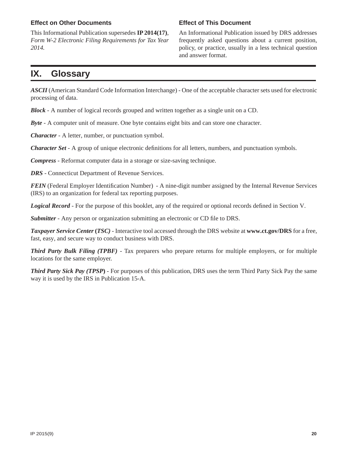#### **Effect on Other Documents**

This Informational Publication supersedes **IP 2014(17)**, *Form W-2 Electronic Filing Requirements for Tax Year 2014.*

#### **Effect of This Document**

An Informational Publication issued by DRS addresses frequently asked questions about a current position, policy, or practice, usually in a less technical question and answer format.

## **IX. Glossary**

*ASCII* (American Standard Code Information Interchange) - One of the acceptable character sets used for electronic processing of data.

*Block* - A number of logical records grouped and written together as a single unit on a CD.

*Byte* - A computer unit of measure. One byte contains eight bits and can store one character.

*Character* - A letter, number, or punctuation symbol.

*Character Set* - A group of unique electronic definitions for all letters, numbers, and punctuation symbols.

*Compress* - Reformat computer data in a storage or size-saving technique.

*DRS* - Connecticut Department of Revenue Services.

*FEIN* (Federal Employer Identification Number) - A nine-digit number assigned by the Internal Revenue Services (IRS) to an organization for federal tax reporting purposes.

*Logical Record* - For the purpose of this booklet, any of the required or optional records defined in Section V.

*Submitter* - Any person or organization submitting an electronic or CD file to DRS.

*Taxpayer Service Center* **(***TSC)* - Interactive tool accessed through the DRS website at **www.ct.gov/DRS** for a free, fast, easy, and secure way to conduct business with DRS.

*Third Party Bulk Filing (TPBF)* - Tax preparers who prepare returns for multiple employers, or for multiple locations for the same employer.

*Third Party Sick Pay (TPSP***)** - For purposes of this publication, DRS uses the term Third Party Sick Pay the same way it is used by the IRS in Publication 15-A.